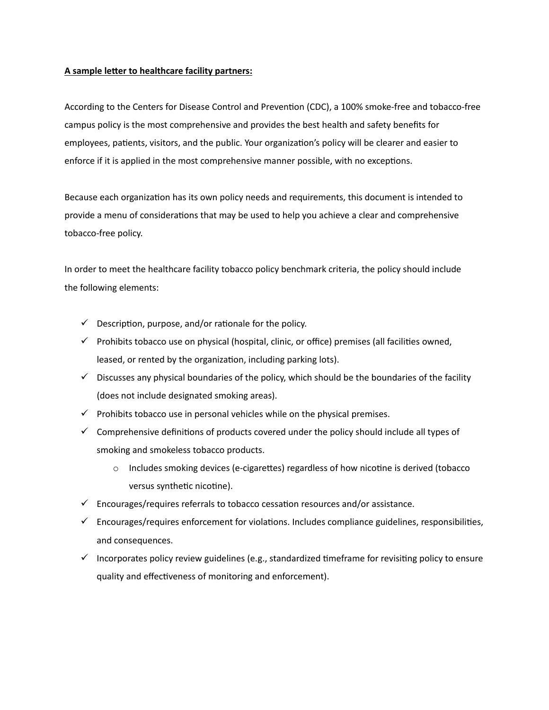# **A sample leter to healthcare facility partners:**

According to the Centers for Disease Control and Prevention (CDC), a 100% smoke-free and tobacco-free campus policy is the most comprehensive and provides the best health and safety benefits for employees, patients, visitors, and the public. Your organization's policy will be clearer and easier to enforce if it is applied in the most comprehensive manner possible, with no exceptions.

Because each organization has its own policy needs and requirements, this document is intended to provide a menu of considerations that may be used to help you achieve a clear and comprehensive tobacco-free policy.

In order to meet the healthcare facility tobacco policy benchmark criteria, the policy should include the following elements:

- $\checkmark$  Description, purpose, and/or rationale for the policy.
- $\checkmark$  Prohibits tobacco use on physical (hospital, clinic, or office) premises (all facilities owned, leased, or rented by the organization, including parking lots).
- $\checkmark$  Discusses any physical boundaries of the policy, which should be the boundaries of the facility (does not include designated smoking areas).
- $\checkmark$  Prohibits tobacco use in personal vehicles while on the physical premises.
- $\checkmark$  Comprehensive definitions of products covered under the policy should include all types of smoking and smokeless tobacco products.
	- $\circ$  Includes smoking devices (e-cigarettes) regardless of how nicotine is derived (tobacco versus synthetic nicotine).
- $\checkmark$  Encourages/requires referrals to tobacco cessation resources and/or assistance.
- $\checkmark$  Encourages/requires enforcement for violations. Includes compliance guidelines, responsibilities, and consequences.
- Incorporates policy review guidelines (e.g., standardized time frame for revisiting policy to ensure quality and effectiveness of monitoring and enforcement).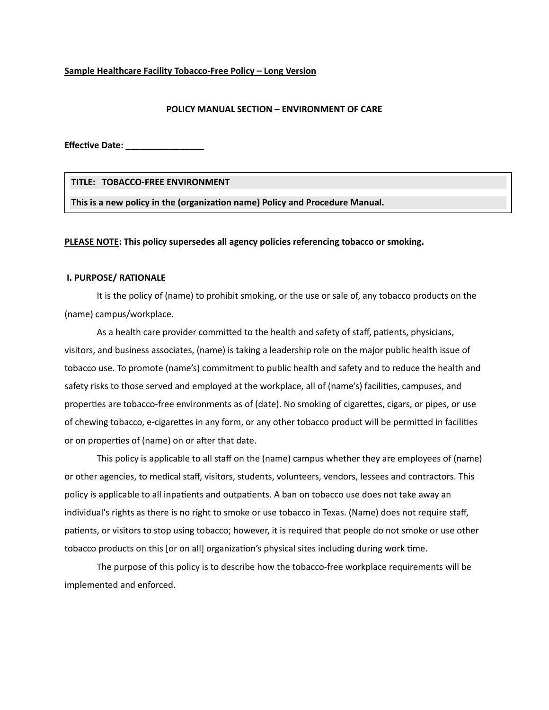#### **Sample Healthcare Facility Tobacco-Free Policy – Long Version**

### **POLICY MANUAL SECTION – ENVIRONMENT OF CARE**

**Effec�ve Date: \_\_\_\_\_\_\_\_\_\_\_\_\_\_\_\_**

**TITLE: TOBACCO-FREE ENVIRONMENT**

This is a new policy in the (organization name) Policy and Procedure Manual.

**PLEASE NOTE: This policy supersedes all agency policies referencing tobacco or smoking.**

### **I. PURPOSE/ RATIONALE**

It is the policy of (name) to prohibit smoking, or the use or sale of, any tobacco products on the (name) campus/workplace.

As a health care provider committed to the health and safety of staff, patients, physicians, visitors, and business associates, (name) is taking a leadership role on the major public health issue of tobacco use. To promote (name's) commitment to public health and safety and to reduce the health and safety risks to those served and employed at the workplace, all of (name's) facilities, campuses, and proper�es are tobacco-free environments as of (date). No smoking of cigaretes, cigars, or pipes, or use of chewing tobacco, e-cigarettes in any form, or any other tobacco product will be permitted in facilities or on properties of (name) on or after that date.

This policy is applicable to all staff on the (name) campus whether they are employees of (name) or other agencies, to medical staff, visitors, students, volunteers, vendors, lessees and contractors. This policy is applicable to all inpatients and outpatients. A ban on tobacco use does not take away an individual's rights as there is no right to smoke or use tobacco in Texas. (Name) does not require staff, patients, or visitors to stop using tobacco; however, it is required that people do not smoke or use other tobacco products on this [or on all] organization's physical sites including during work time.

The purpose of this policy is to describe how the tobacco-free workplace requirements will be implemented and enforced.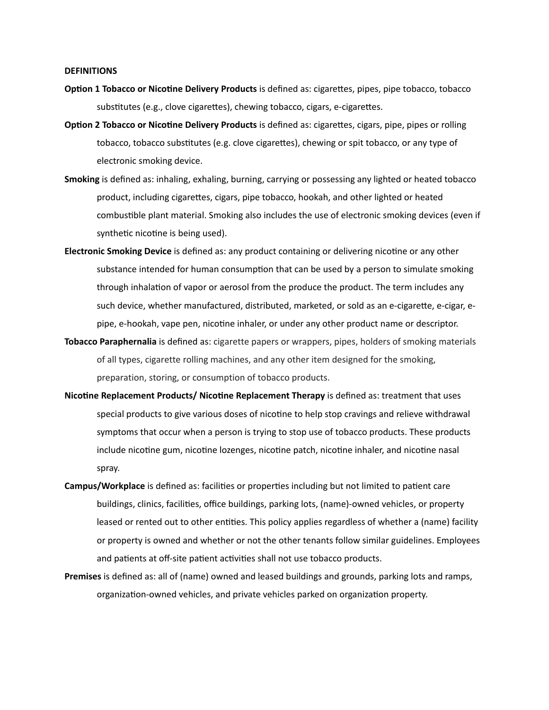#### **DEFINITIONS**

- **Option 1 Tobacco or Nicotine Delivery Products** is defined as: cigarettes, pipes, pipe tobacco, tobacco substitutes (e.g., clove cigarettes), chewing tobacco, cigars, e-cigarettes.
- **Option 2 Tobacco or Nicotine Delivery Products** is defined as: cigarettes, cigars, pipe, pipes or rolling tobacco, tobacco substitutes (e.g. clove cigarettes), chewing or spit tobacco, or any type of electronic smoking device.
- **Smoking** is defined as: inhaling, exhaling, burning, carrying or possessing any lighted or heated tobacco product, including cigaretes, cigars, pipe tobacco, hookah, and other lighted or heated combustible plant material. Smoking also includes the use of electronic smoking devices (even if synthetic nicotine is being used).
- Electronic Smoking Device is defined as: any product containing or delivering nicotine or any other substance intended for human consumption that can be used by a person to simulate smoking through inhalation of vapor or aerosol from the produce the product. The term includes any such device, whether manufactured, distributed, marketed, or sold as an e-cigarete, e-cigar, epipe, e-hookah, vape pen, nicotine inhaler, or under any other product name or descriptor.
- **Tobacco Paraphernalia** is defined as: cigarette papers or wrappers, pipes, holders of smoking materials of all types, cigarette rolling machines, and any other item designed for the smoking, preparation, storing, or consumption of tobacco products.
- **Nicotine Replacement Products/ Nicotine Replacement Therapy** is defined as: treatment that uses special products to give various doses of nicotine to help stop cravings and relieve withdrawal symptoms that occur when a person is trying to stop use of tobacco products. These products include nicotine gum, nicotine lozenges, nicotine patch, nicotine inhaler, and nicotine nasal spray.
- Campus/Workplace is defined as: facilities or properties including but not limited to patient care buildings, clinics, facili�es, office buildings, parking lots, (name)-owned vehicles, or property leased or rented out to other entities. This policy applies regardless of whether a (name) facility or property is owned and whether or not the other tenants follow similar guidelines. Employees and patients at off-site patient activities shall not use tobacco products.
- **Premises** is defined as: all of (name) owned and leased buildings and grounds, parking lots and ramps, organization-owned vehicles, and private vehicles parked on organization property.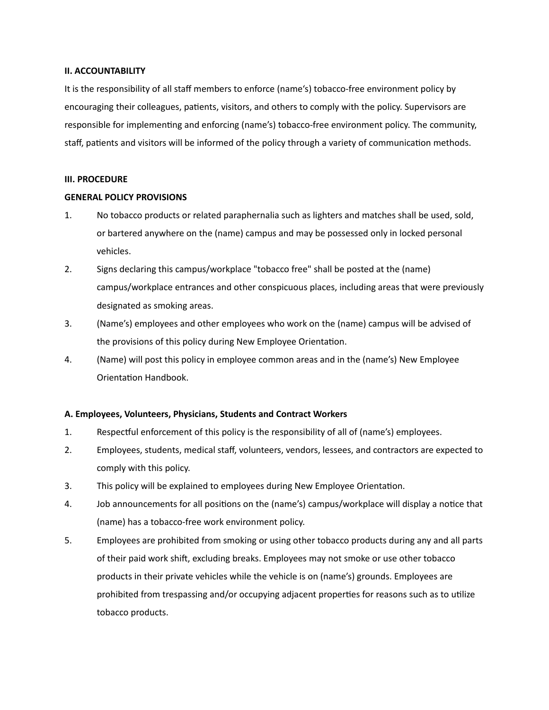### **II. ACCOUNTABILITY**

It is the responsibility of all staff members to enforce (name's) tobacco-free environment policy by encouraging their colleagues, patients, visitors, and others to comply with the policy. Supervisors are responsible for implementing and enforcing (name's) tobacco-free environment policy. The community, staff, patients and visitors will be informed of the policy through a variety of communication methods.

# **III. PROCEDURE**

# **GENERAL POLICY PROVISIONS**

- 1. No tobacco products or related paraphernalia such as lighters and matches shall be used, sold, or bartered anywhere on the (name) campus and may be possessed only in locked personal vehicles.
- 2. Signs declaring this campus/workplace "tobacco free" shall be posted at the (name) campus/workplace entrances and other conspicuous places, including areas that were previously designated as smoking areas.
- 3. (Name's) employees and other employees who work on the (name) campus will be advised of the provisions of this policy during New Employee Orientation.
- 4. (Name) will post this policy in employee common areas and in the (name's) New Employee Orientation Handbook.

# **A. Employees, Volunteers, Physicians, Students and Contract Workers**

- 1. Respectful enforcement of this policy is the responsibility of all of (name's) employees.
- 2. Employees, students, medical staff, volunteers, vendors, lessees, and contractors are expected to comply with this policy.
- 3. This policy will be explained to employees during New Employee Orientation.
- 4. Job announcements for all positions on the (name's) campus/workplace will display a notice that (name) has a tobacco-free work environment policy.
- 5. Employees are prohibited from smoking or using other tobacco products during any and all parts of their paid work shi�, excluding breaks. Employees may not smoke or use other tobacco products in their private vehicles while the vehicle is on (name's) grounds. Employees are prohibited from trespassing and/or occupying adjacent properties for reasons such as to utilize tobacco products.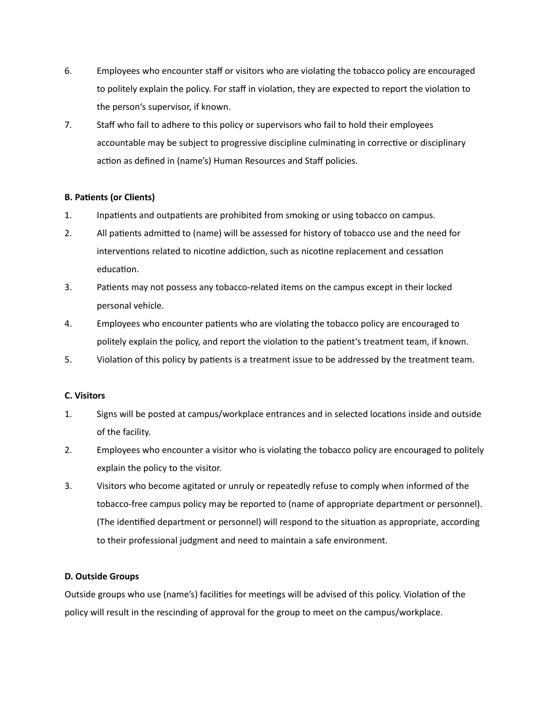- 6. Employees who encounter staff or visitors who are violating the tobacco policy are encouraged to politely explain the policy. For staff in violation, they are expected to report the violation to the person's supervisor, if known.
- 7. Staff who fail to adhere to this policy or supervisors who fail to hold their employees accountable may be subject to progressive discipline culminating in corrective or disciplinary action as defined in (name's) Human Resources and Staff policies.

# **B. Pa�ents (or Clients)**

- 1. Inpatients and outpatients are prohibited from smoking or using tobacco on campus.
- 2. All patients admitted to (name) will be assessed for history of tobacco use and the need for interventions related to nicotine addiction, such as nicotine replacement and cessation education.
- 3. Pa�ents may not possess any tobacco-related items on the campus except in their locked personal vehicle.
- 4. Employees who encounter patients who are violating the tobacco policy are encouraged to politely explain the policy, and report the violation to the patient's treatment team, if known.
- 5. Violation of this policy by patients is a treatment issue to be addressed by the treatment team.

# **C. Visitors**

- 1. Signs will be posted at campus/workplace entrances and in selected locations inside and outside of the facility.
- 2. Employees who encounter a visitor who is violating the tobacco policy are encouraged to politely explain the policy to the visitor.
- 3. Visitors who become agitated or unruly or repeatedly refuse to comply when informed of the tobacco-free campus policy may be reported to (name of appropriate department or personnel). (The identified department or personnel) will respond to the situation as appropriate, according to their professional judgment and need to maintain a safe environment.

# **D. Outside Groups**

Outside groups who use (name's) facilities for meetings will be advised of this policy. Violation of the policy will result in the rescinding of approval for the group to meet on the campus/workplace.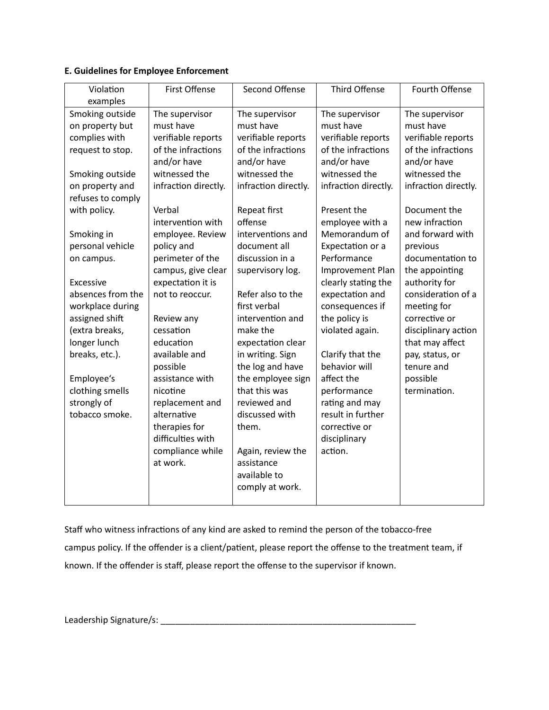# **E. Guidelines for Employee Enforcement**

| Violation                                                                                                                                                                                                                                                                                                                                                                                                           | First Offense                                                                                                                                                                                                                                                                                                                                                                                                                                                                      | Second Offense                                                                                                                                                                                                                                                                                                                                                                                                                                                                 | Third Offense                                                                                                                                                                                                                                                                                                                                                                                                                                                                                   | Fourth Offense                                                                                                                                                                                                                                                                                                                                                                                                        |
|---------------------------------------------------------------------------------------------------------------------------------------------------------------------------------------------------------------------------------------------------------------------------------------------------------------------------------------------------------------------------------------------------------------------|------------------------------------------------------------------------------------------------------------------------------------------------------------------------------------------------------------------------------------------------------------------------------------------------------------------------------------------------------------------------------------------------------------------------------------------------------------------------------------|--------------------------------------------------------------------------------------------------------------------------------------------------------------------------------------------------------------------------------------------------------------------------------------------------------------------------------------------------------------------------------------------------------------------------------------------------------------------------------|-------------------------------------------------------------------------------------------------------------------------------------------------------------------------------------------------------------------------------------------------------------------------------------------------------------------------------------------------------------------------------------------------------------------------------------------------------------------------------------------------|-----------------------------------------------------------------------------------------------------------------------------------------------------------------------------------------------------------------------------------------------------------------------------------------------------------------------------------------------------------------------------------------------------------------------|
| examples<br>Smoking outside<br>on property but<br>complies with<br>request to stop.<br>Smoking outside<br>on property and<br>refuses to comply<br>with policy.<br>Smoking in<br>personal vehicle<br>on campus.<br><b>Excessive</b><br>absences from the<br>workplace during<br>assigned shift<br>(extra breaks,<br>longer lunch<br>breaks, etc.).<br>Employee's<br>clothing smells<br>strongly of<br>tobacco smoke. | The supervisor<br>must have<br>verifiable reports<br>of the infractions<br>and/or have<br>witnessed the<br>infraction directly.<br>Verbal<br>intervention with<br>employee. Review<br>policy and<br>perimeter of the<br>campus, give clear<br>expectation it is<br>not to reoccur.<br>Review any<br>cessation<br>education<br>available and<br>possible<br>assistance with<br>nicotine<br>replacement and<br>alternative<br>therapies for<br>difficulties with<br>compliance while | The supervisor<br>must have<br>verifiable reports<br>of the infractions<br>and/or have<br>witnessed the<br>infraction directly.<br>Repeat first<br>offense<br>interventions and<br>document all<br>discussion in a<br>supervisory log.<br>Refer also to the<br>first verbal<br>intervention and<br>make the<br>expectation clear<br>in writing. Sign<br>the log and have<br>the employee sign<br>that this was<br>reviewed and<br>discussed with<br>them.<br>Again, review the | The supervisor<br>must have<br>verifiable reports<br>of the infractions<br>and/or have<br>witnessed the<br>infraction directly.<br>Present the<br>employee with a<br>Memorandum of<br>Expectation or a<br>Performance<br>Improvement Plan<br>clearly stating the<br>expectation and<br>consequences if<br>the policy is<br>violated again.<br>Clarify that the<br>behavior will<br>affect the<br>performance<br>rating and may<br>result in further<br>corrective or<br>disciplinary<br>action. | The supervisor<br>must have<br>verifiable reports<br>of the infractions<br>and/or have<br>witnessed the<br>infraction directly.<br>Document the<br>new infraction<br>and forward with<br>previous<br>documentation to<br>the appointing<br>authority for<br>consideration of a<br>meeting for<br>corrective or<br>disciplinary action<br>that may affect<br>pay, status, or<br>tenure and<br>possible<br>termination. |
|                                                                                                                                                                                                                                                                                                                                                                                                                     | at work.                                                                                                                                                                                                                                                                                                                                                                                                                                                                           | assistance<br>available to<br>comply at work.                                                                                                                                                                                                                                                                                                                                                                                                                                  |                                                                                                                                                                                                                                                                                                                                                                                                                                                                                                 |                                                                                                                                                                                                                                                                                                                                                                                                                       |

Staff who witness infractions of any kind are asked to remind the person of the tobacco-free campus policy. If the offender is a client/patient, please report the offense to the treatment team, if known. If the offender is staff, please report the offense to the supervisor if known.

Leadership Signature/s: \_\_\_\_\_\_\_\_\_\_\_\_\_\_\_\_\_\_\_\_\_\_\_\_\_\_\_\_\_\_\_\_\_\_\_\_\_\_\_\_\_\_\_\_\_\_\_\_\_\_\_\_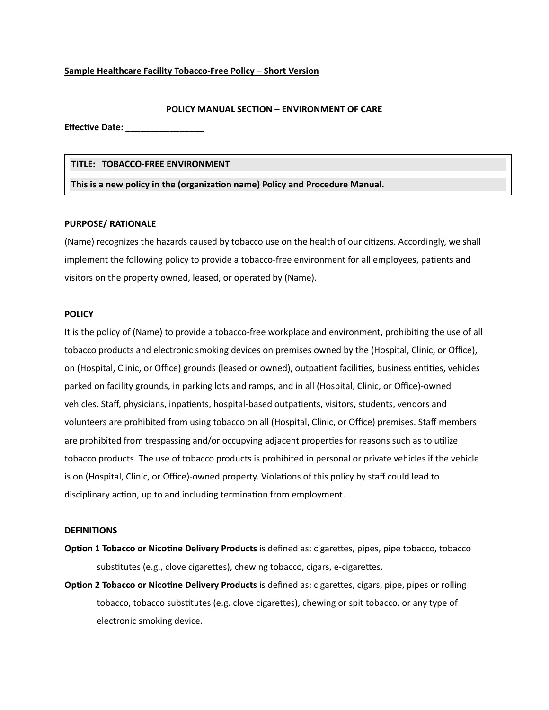### **Sample Healthcare Facility Tobacco-Free Policy – Short Version**

### **POLICY MANUAL SECTION – ENVIRONMENT OF CARE**

**Effec�ve Date: \_\_\_\_\_\_\_\_\_\_\_\_\_\_\_\_**

#### **TITLE: TOBACCO-FREE ENVIRONMENT**

**This is a new policy in the (organiza�on name) Policy and Procedure Manual.**

#### **PURPOSE/ RATIONALE**

(Name) recognizes the hazards caused by tobacco use on the health of our citizens. Accordingly, we shall implement the following policy to provide a tobacco-free environment for all employees, patients and visitors on the property owned, leased, or operated by (Name).

#### **POLICY**

It is the policy of (Name) to provide a tobacco-free workplace and environment, prohibiting the use of all tobacco products and electronic smoking devices on premises owned by the (Hospital, Clinic, or Office), on (Hospital, Clinic, or Office) grounds (leased or owned), outpatient facilities, business entities, vehicles parked on facility grounds, in parking lots and ramps, and in all (Hospital, Clinic, or Office)-owned vehicles. Staff, physicians, inpatients, hospital-based outpatients, visitors, students, vendors and volunteers are prohibited from using tobacco on all (Hospital, Clinic, or Office) premises. Staff members are prohibited from trespassing and/or occupying adjacent properties for reasons such as to utilize tobacco products. The use of tobacco products is prohibited in personal or private vehicles if the vehicle is on (Hospital, Clinic, or Office)-owned property. Violations of this policy by staff could lead to disciplinary action, up to and including termination from employment.

#### **DEFINITIONS**

- **Option 1 Tobacco or Nicotine Delivery Products** is defined as: cigarettes, pipes, pipe tobacco, tobacco substitutes (e.g., clove cigarettes), chewing tobacco, cigars, e-cigarettes.
- **Option 2 Tobacco or Nicotine Delivery Products** is defined as: cigarettes, cigars, pipe, pipes or rolling tobacco, tobacco subs�tutes (e.g. clove cigaretes), chewing or spit tobacco, or any type of electronic smoking device.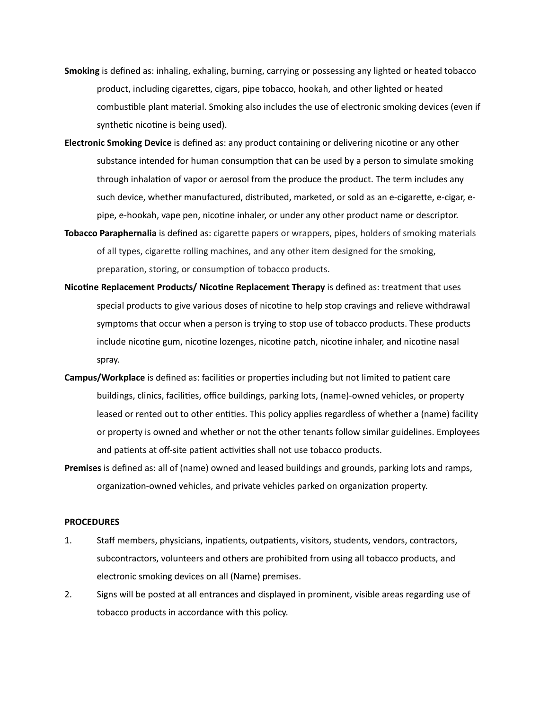- **Smoking** is defined as: inhaling, exhaling, burning, carrying or possessing any lighted or heated tobacco product, including cigaretes, cigars, pipe tobacco, hookah, and other lighted or heated combustible plant material. Smoking also includes the use of electronic smoking devices (even if synthetic nicotine is being used).
- **Electronic Smoking Device** is defined as: any product containing or delivering nicotine or any other substance intended for human consumption that can be used by a person to simulate smoking through inhalation of vapor or aerosol from the produce the product. The term includes any such device, whether manufactured, distributed, marketed, or sold as an e-cigarete, e-cigar, epipe, e-hookah, vape pen, nico�ne inhaler, or under any other product name or descriptor.
- **Tobacco Paraphernalia** is defined as: cigarette papers or wrappers, pipes, holders of smoking materials of all types, cigarette rolling machines, and any other item designed for the smoking, preparation, storing, or consumption of tobacco products.
- **Nicotine Replacement Products/ Nicotine Replacement Therapy** is defined as: treatment that uses special products to give various doses of nicotine to help stop cravings and relieve withdrawal symptoms that occur when a person is trying to stop use of tobacco products. These products include nicotine gum, nicotine lozenges, nicotine patch, nicotine inhaler, and nicotine nasal spray.
- **Campus/Workplace** is defined as: facilities or properties including but not limited to patient care buildings, clinics, facili�es, office buildings, parking lots, (name)-owned vehicles, or property leased or rented out to other entities. This policy applies regardless of whether a (name) facility or property is owned and whether or not the other tenants follow similar guidelines. Employees and patients at off-site patient activities shall not use tobacco products.
- **Premises** is defined as: all of (name) owned and leased buildings and grounds, parking lots and ramps, organization-owned vehicles, and private vehicles parked on organization property.

### **PROCEDURES**

- 1. Staff members, physicians, inpatients, outpatients, visitors, students, vendors, contractors, subcontractors, volunteers and others are prohibited from using all tobacco products, and electronic smoking devices on all (Name) premises.
- 2. Signs will be posted at all entrances and displayed in prominent, visible areas regarding use of tobacco products in accordance with this policy.